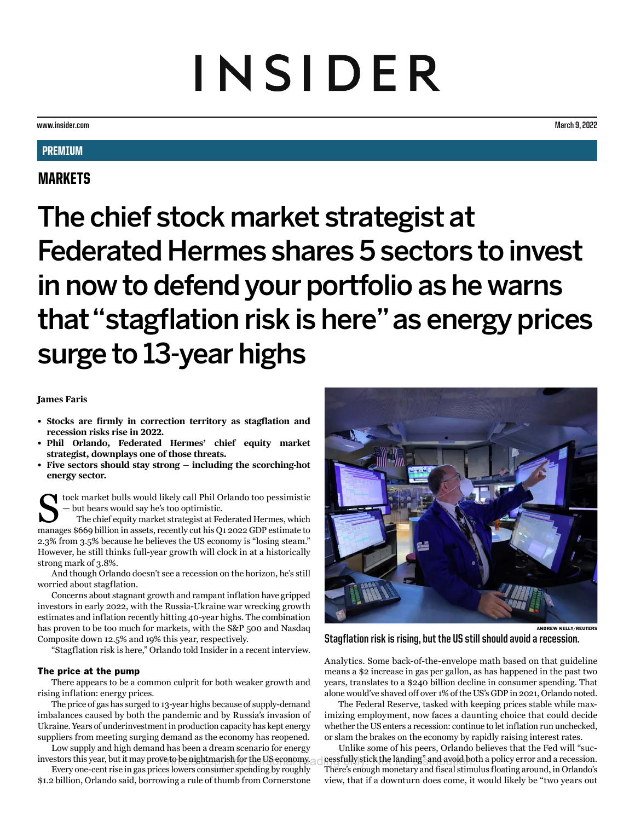# INSIDER

**www.insider.com March 9, 2022**

# **PREMIUM**

## MARKETS

The chief stock market strategist at Federated Hermes shares 5 sectors to invest in now to defend your portfolio as he warns that "stagflation risk is here" as energy prices surge to 13-year highs

## **James Faris**

- **• Stocks are firmly in correction territory as stagflation and recession risks rise in 2022.**
- **• Phil Orlando, Federated Hermes' chief equity market strategist, downplays one of those threats.**
- **• Five sectors should stay strong including the scorching-hot energy sector.**

tock market bulls would likely call Phil Orlando too pessimistic — but bears would say he's too optimistic.

The chief equity market strategist at Federated Hermes, which manages \$669 billion in assets, recently cut his Q1 2022 GDP estimate to 2.3% from 3.5% because he believes the US economy is "losing steam." However, he still thinks full-year growth will clock in at a historically strong mark of 3.8%.

And though Orlando doesn't see a recession on the horizon, he's still worried about stagflation.

Concerns about stagnant growth and rampant inflation have gripped investors in early 2022, with the Russia-Ukraine war wrecking growth estimates and inflation recently hitting 40-year highs. The combination has proven to be too much for markets, with the S&P 500 and Nasdaq Composite down 12.5% and 19% this year, respectively.

"Stagflation risk is here," Orlando told Insider in a recent interview.

### The price at the pump

There appears to be a common culprit for both weaker growth and rising inflation: energy prices.

The price of gas has surged to 13-year highs because of supply-demand imbalances caused by both the pandemic and by Russia's invasion of Ukraine. Years of underinvestment in production capacity has kept energy suppliers from meeting surging demand as the economy has reopened.

Low supply and high demand has been a dream scenario for energy investors this year, but it may prove to be nightmarish for the US economy. cessfully stick the landing" and avoid bo

Every one-cent rise in gas prices lowers consumer spending by roughly \$1.2 billion, Orlando said, borrowing a rule of thumb from Cornerstone



**Stagflation risk is rising, but the US still should avoid a recession.**

Analytics. Some back-of-the-envelope math based on that guideline means a \$2 increase in gas per gallon, as has happened in the past two years, translates to a \$240 billion decline in consumer spending. That alone would've shaved off over 1% of the US's GDP in 2021, Orlando noted.

The Federal Reserve, tasked with keeping prices stable while maximizing employment, now faces a daunting choice that could decide whether the US enters a recession: continue to let inflation run unchecked, or slam the brakes on the economy by rapidly raising interest rates.

Unlike some of his peers, Orlando believes that the Fed will "successfully stick the landing" and avoid both a policy error and a recession. There's enough monetary and fiscal stimulus floating around, in Orlando's view, that if a downturn does come, it would likely be "two years out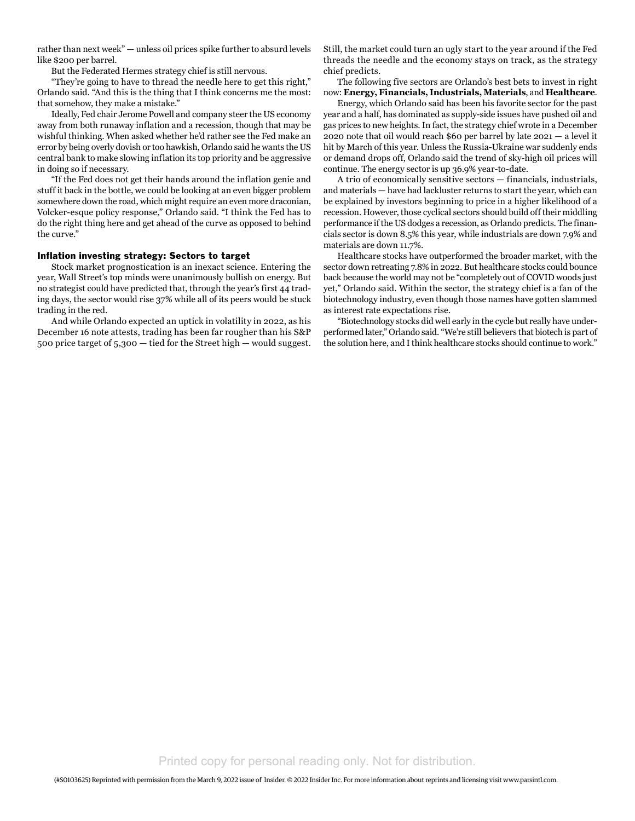rather than next week" — unless oil prices spike further to absurd levels like \$200 per barrel.

But the Federated Hermes strategy chief is still nervous.

"They're going to have to thread the needle here to get this right," Orlando said. "And this is the thing that I think concerns me the most: that somehow, they make a mistake."

Ideally, Fed chair Jerome Powell and company steer the US economy away from both runaway inflation and a recession, though that may be wishful thinking. When asked whether he'd rather see the Fed make an error by being overly dovish or too hawkish, Orlando said he wants the US central bank to make slowing inflation its top priority and be aggressive in doing so if necessary.

"If the Fed does not get their hands around the inflation genie and stuff it back in the bottle, we could be looking at an even bigger problem somewhere down the road, which might require an even more draconian, Volcker-esque policy response," Orlando said. "I think the Fed has to do the right thing here and get ahead of the curve as opposed to behind the curve."

#### Inflation investing strategy: Sectors to target

Stock market prognostication is an inexact science. Entering the year, Wall Street's top minds were unanimously bullish on energy. But no strategist could have predicted that, through the year's first 44 trading days, the sector would rise 37% while all of its peers would be stuck trading in the red.

And while Orlando expected an uptick in volatility in 2022, as his December 16 note attests, trading has been far rougher than his S&P 500 price target of 5,300 — tied for the Street high — would suggest.

Still, the market could turn an ugly start to the year around if the Fed threads the needle and the economy stays on track, as the strategy chief predicts.

The following five sectors are Orlando's best bets to invest in right now: **Energy, Financials, Industrials, Materials**, and **Healthcare**.

Energy, which Orlando said has been his favorite sector for the past year and a half, has dominated as supply-side issues have pushed oil and gas prices to new heights. In fact, the strategy chief wrote in a December 2020 note that oil would reach \$60 per barrel by late 2021 — a level it hit by March of this year. Unless the Russia-Ukraine war suddenly ends or demand drops off, Orlando said the trend of sky-high oil prices will continue. The energy sector is up 36.9% year-to-date.

A trio of economically sensitive sectors — financials, industrials, and materials — have had lackluster returns to start the year, which can be explained by investors beginning to price in a higher likelihood of a recession. However, those cyclical sectors should build off their middling performance if the US dodges a recession, as Orlando predicts. The financials sector is down 8.5% this year, while industrials are down 7.9% and materials are down 11.7%.

Healthcare stocks have outperformed the broader market, with the sector down retreating 7.8% in 2022. But healthcare stocks could bounce back because the world may not be "completely out of COVID woods just yet," Orlando said. Within the sector, the strategy chief is a fan of the biotechnology industry, even though those names have gotten slammed as interest rate expectations rise.

"Biotechnology stocks did well early in the cycle but really have underperformed later," Orlando said. "We're still believers that biotech is part of the solution here, and I think healthcare stocks should continue to work."